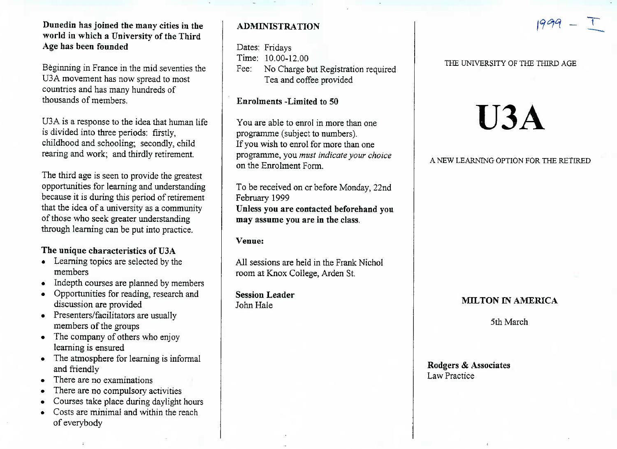Dunedin **has joined the many cities in the world in which a University of the ThirdAge has been founded**

Beginning in France in the mid seventies theU3A movement has now spread to mostcountries and has many hundreds ofthousands of members.

U3A is a response to the idea that human lifeis divided into three periods: firstly, childhood and schooling; secondly, childrearing and work; and thirdly retirement.

The third age is seen to provide the greatest opportunities for learning and understanding because it is during this period of retirement that the idea of a university as a communityof those who seek greater understandingthrough learning can be put into practice.

# **The unique characteristics of U3A**

- Learning topics are selected by themembers
- Indepth courses are planned by members
- Opportunities for reading, research anddiscussion are provided
- $\mathcal{P}$  resemers/facilitators are usually members of the groups
- $\cdot$  The company of others who enjoy learning is ensured
- The atmosphere for learning is informal and friendly
- There are no examinations
- $\epsilon$  There are no compulsory activities
- Courses take place during daylight hours
- Costs are minimal and within the reachof everybody

# **ADMINISTRATION**

Dates: Fridays Time: 10.00-12.00 Fee: No Charge but Registration requiredTea and coffee provided

## **Enrolments -Limited to 50**

You are able to enrol in more than oneprogramme (subject to numbers). If you wish to enrol for more than one programme, you *must indicate your choice*on the Enrolment Form.

To be received on or before Monday, 22ndFebruary 1999 **Unless you are contacted beforehand youmay assume you are in the class.**

### **Venue:**

All sessions are held in the Frank Nicholroom at Knox College, Arden St.

**Session Leader**John Hale

### THE UNIVERSITY OF THE THIRD AGE

# **U3A**

### A NEW LEARNING **OPTION FOR** THE RETIRED

### **MILTON IN AMERICA**

5th March

Rodgers *&* AssociatesLaw Practice